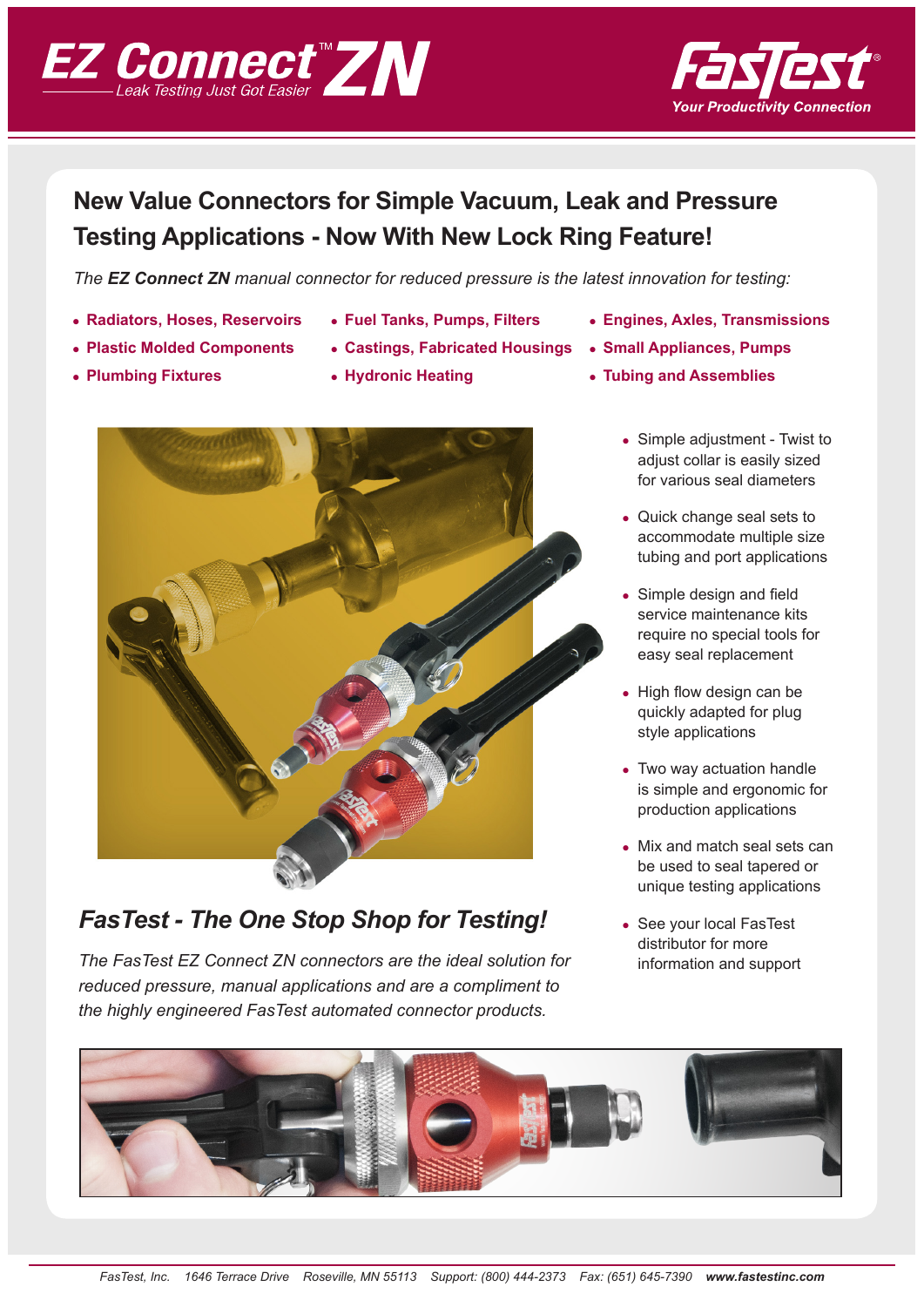



# **New Value Connectors for Simple Vacuum, Leak and Pressure Testing Applications - Now With New Lock Ring Feature!**

*The EZ Connect ZN manual connector for reduced pressure is the latest innovation for testing:*

- 
- 
- 
- 
- **e** Plastic Molded Components **•** Castings, Fabricated Housings Small Appliances, Pumps
	-



## *FasTest - The One Stop Shop for Testing!*

*The FasTest EZ Connect ZN connectors are the ideal solution for reduced pressure, manual applications and are a compliment to the highly engineered FasTest automated connector products.*

- **Enadiators, Hoses, Reservoirs Fuel Tanks, Pumps, Filters Engines, Axles, Transmissions** 
	-
- **Example 3 Is a Plumbing Fixtures and Assemblies v Hydronic Heating z and Assemblies v i** 
	- Simple adjustment Twist to adjust collar is easily sized for various seal diameters
	- Quick change seal sets to accommodate multiple size tubing and port applications
	- Simple design and field service maintenance kits require no special tools for easy seal replacement
	- $\bullet$  High flow design can be quickly adapted for plug style applications
	- Two way actuation handle is simple and ergonomic for production applications
	- Mix and match seal sets can be used to seal tapered or unique testing applications
	- See your local FasTest distributor for more information and support